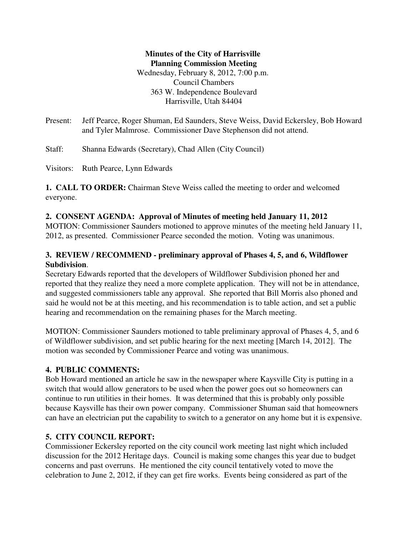**Minutes of the City of Harrisville Planning Commission Meeting** Wednesday, February 8, 2012, 7:00 p.m. Council Chambers 363 W. Independence Boulevard Harrisville, Utah 84404

Present: Jeff Pearce, Roger Shuman, Ed Saunders, Steve Weiss, David Eckersley, Bob Howard and Tyler Malmrose. Commissioner Dave Stephenson did not attend.

Staff: Shanna Edwards (Secretary), Chad Allen (City Council)

Visitors: Ruth Pearce, Lynn Edwards

**1. CALL TO ORDER:** Chairman Steve Weiss called the meeting to order and welcomed everyone.

#### **2. CONSENT AGENDA: Approval of Minutes of meeting held January 11, 2012**

MOTION: Commissioner Saunders motioned to approve minutes of the meeting held January 11, 2012, as presented. Commissioner Pearce seconded the motion. Voting was unanimous.

# **3. REVIEW / RECOMMEND - preliminary approval of Phases 4, 5, and 6, Wildflower Subdivision**.

Secretary Edwards reported that the developers of Wildflower Subdivision phoned her and reported that they realize they need a more complete application. They will not be in attendance, and suggested commissioners table any approval. She reported that Bill Morris also phoned and said he would not be at this meeting, and his recommendation is to table action, and set a public hearing and recommendation on the remaining phases for the March meeting.

MOTION: Commissioner Saunders motioned to table preliminary approval of Phases 4, 5, and 6 of Wildflower subdivision, and set public hearing for the next meeting [March 14, 2012]. The motion was seconded by Commissioner Pearce and voting was unanimous.

## **4. PUBLIC COMMENTS:**

Bob Howard mentioned an article he saw in the newspaper where Kaysville City is putting in a switch that would allow generators to be used when the power goes out so homeowners can continue to run utilities in their homes. It was determined that this is probably only possible because Kaysville has their own power company. Commissioner Shuman said that homeowners can have an electrician put the capability to switch to a generator on any home but it is expensive.

## **5. CITY COUNCIL REPORT:**

Commissioner Eckersley reported on the city council work meeting last night which included discussion for the 2012 Heritage days. Council is making some changes this year due to budget concerns and past overruns. He mentioned the city council tentatively voted to move the celebration to June 2, 2012, if they can get fire works. Events being considered as part of the